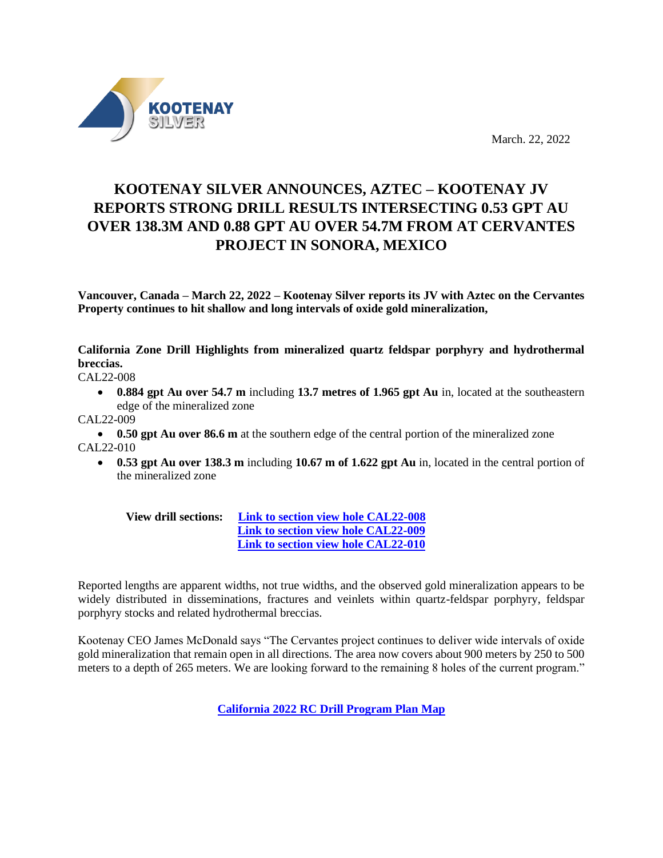March. 22, 2022



## **KOOTENAY SILVER ANNOUNCES, AZTEC – KOOTENAY JV REPORTS STRONG DRILL RESULTS INTERSECTING 0.53 GPT AU OVER 138.3M AND 0.88 GPT AU OVER 54.7M FROM AT CERVANTES PROJECT IN SONORA, MEXICO**

**Vancouver, Canada – March 22, 2022 – Kootenay Silver reports its JV with Aztec on the Cervantes Property continues to hit shallow and long intervals of oxide gold mineralization,**

**California Zone Drill Highlights from mineralized quartz feldspar porphyry and hydrothermal breccias.**

CAL22-008

• **0.884 gpt Au over 54.7 m** including **13.7 metres of 1.965 gpt Au** in, located at the southeastern edge of the mineralized zone

CAL22-009

• 0.50 gpt Au over 86.6 m at the southern edge of the central portion of the mineralized zone CAL22-010

• **0.53 gpt Au over 138.3 m** including **10.67 m of 1.622 gpt Au** in, located in the central portion of the mineralized zone

 **View drill sections: [Link to section view hole CAL22-008](https://www.kootenaysilver.com/assets/img/nr/Cervantes-Mar-22-2022/Cal22008.png) [Link to section view hole CAL22-009](https://www.kootenaysilver.com/assets/img/nr/Cervantes-Mar-22-2022/CAL22_009.png) [Link to section view hole CAL22-010](https://www.kootenaysilver.com/assets/img/nr/Cervantes-Mar-22-2022/CAL22_010.png)**

Reported lengths are apparent widths, not true widths, and the observed gold mineralization appears to be widely distributed in disseminations, fractures and veinlets within quartz-feldspar porphyry, feldspar porphyry stocks and related hydrothermal breccias.

Kootenay CEO James McDonald says "The Cervantes project continues to deliver wide intervals of oxide gold mineralization that remain open in all directions. The area now covers about 900 meters by 250 to 500 meters to a depth of 265 meters. We are looking forward to the remaining 8 holes of the current program."

**[California 2022 RC Drill Program Plan Map](https://www.kootenaysilver.com/assets/img/nr/Cervantes-Mar-22-2022/02-Mad-Cer-Drilling.jpg)**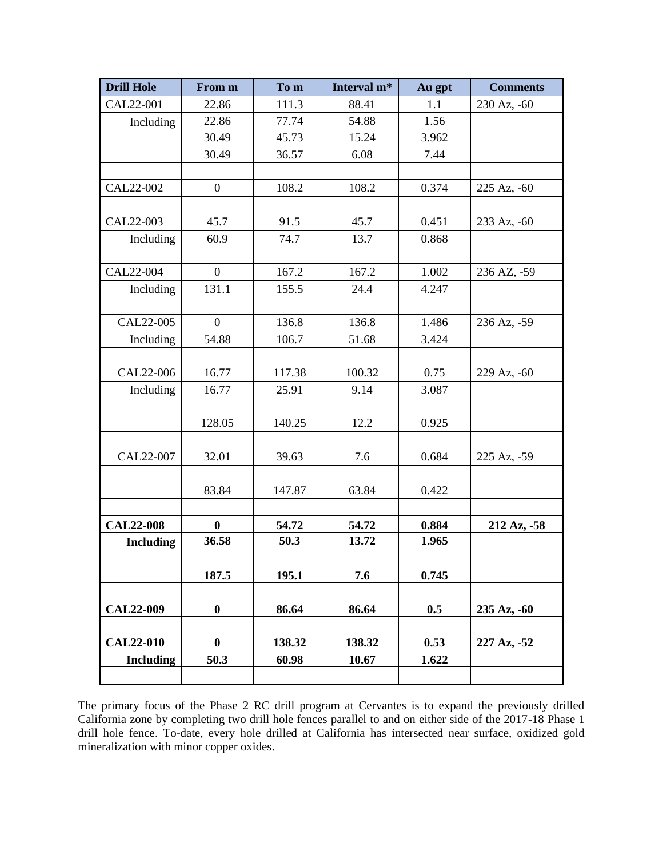| <b>Drill Hole</b> | From m           | To m   | Interval m* | Au gpt | <b>Comments</b> |
|-------------------|------------------|--------|-------------|--------|-----------------|
| CAL22-001         | 22.86            | 111.3  | 88.41       | 1.1    | 230 Az, -60     |
| Including         | 22.86            | 77.74  | 54.88       | 1.56   |                 |
|                   | 30.49            | 45.73  | 15.24       | 3.962  |                 |
|                   | 30.49            | 36.57  | 6.08        | 7.44   |                 |
|                   |                  |        |             |        |                 |
| CAL22-002         | $\overline{0}$   | 108.2  | 108.2       | 0.374  | 225 Az, -60     |
|                   |                  |        |             |        |                 |
| CAL22-003         | 45.7             | 91.5   | 45.7        | 0.451  | 233 Az, -60     |
| Including         | 60.9             | 74.7   | 13.7        | 0.868  |                 |
|                   |                  |        |             |        |                 |
| CAL22-004         | $\boldsymbol{0}$ | 167.2  | 167.2       | 1.002  | 236 AZ, -59     |
| Including         | 131.1            | 155.5  | 24.4        | 4.247  |                 |
|                   |                  |        |             |        |                 |
| CAL22-005         | $\overline{0}$   | 136.8  | 136.8       | 1.486  | 236 Az, -59     |
| Including         | 54.88            | 106.7  | 51.68       | 3.424  |                 |
|                   |                  |        |             |        |                 |
| CAL22-006         | 16.77            | 117.38 | 100.32      | 0.75   | 229 Az, -60     |
| Including         | 16.77            | 25.91  | 9.14        | 3.087  |                 |
|                   |                  |        |             |        |                 |
|                   | 128.05           | 140.25 | 12.2        | 0.925  |                 |
|                   |                  |        |             |        |                 |
| CAL22-007         | 32.01            | 39.63  | 7.6         | 0.684  | 225 Az, -59     |
|                   |                  |        |             |        |                 |
|                   | 83.84            | 147.87 | 63.84       | 0.422  |                 |
|                   |                  |        |             |        |                 |
| <b>CAL22-008</b>  | $\bf{0}$         | 54.72  | 54.72       | 0.884  | 212 Az, -58     |
| <b>Including</b>  | 36.58            | 50.3   | 13.72       | 1.965  |                 |
|                   |                  |        |             |        |                 |
|                   | 187.5            | 195.1  | 7.6         | 0.745  |                 |
|                   |                  |        |             |        |                 |
| <b>CAL22-009</b>  | $\boldsymbol{0}$ | 86.64  | 86.64       | 0.5    | 235 Az, -60     |
|                   |                  |        |             |        |                 |
| <b>CAL22-010</b>  | $\bf{0}$         | 138.32 | 138.32      | 0.53   | 227 Az, -52     |
| <b>Including</b>  | 50.3             | 60.98  | 10.67       | 1.622  |                 |
|                   |                  |        |             |        |                 |

The primary focus of the Phase 2 RC drill program at Cervantes is to expand the previously drilled California zone by completing two drill hole fences parallel to and on either side of the 2017-18 Phase 1 drill hole fence. To-date, every hole drilled at California has intersected near surface, oxidized gold mineralization with minor copper oxides.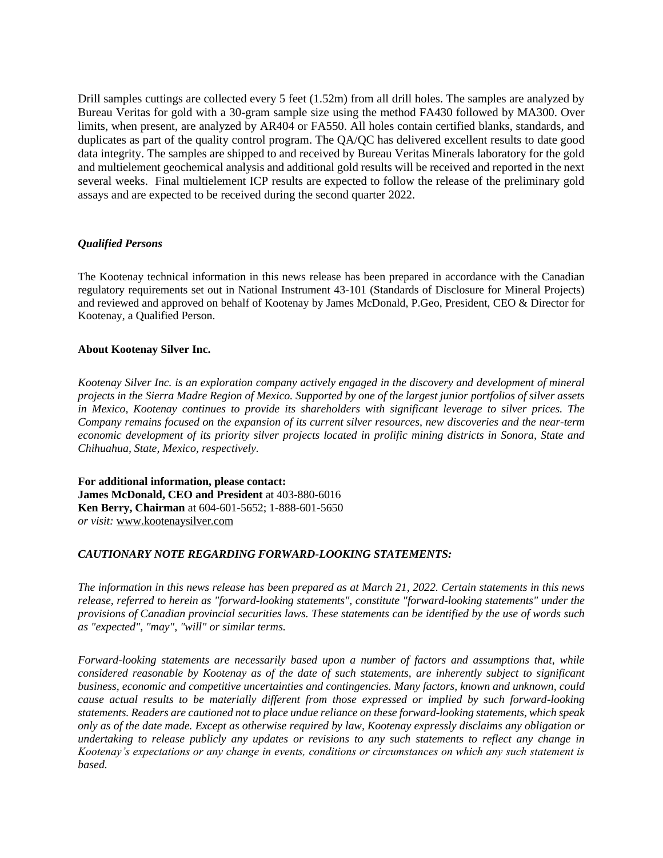Drill samples cuttings are collected every 5 feet (1.52m) from all drill holes. The samples are analyzed by Bureau Veritas for gold with a 30-gram sample size using the method FA430 followed by MA300. Over limits, when present, are analyzed by AR404 or FA550. All holes contain certified blanks, standards, and duplicates as part of the quality control program. The QA/QC has delivered excellent results to date good data integrity. The samples are shipped to and received by Bureau Veritas Minerals laboratory for the gold and multielement geochemical analysis and additional gold results will be received and reported in the next several weeks. Final multielement ICP results are expected to follow the release of the preliminary gold assays and are expected to be received during the second quarter 2022.

## *Qualified Persons*

The Kootenay technical information in this news release has been prepared in accordance with the Canadian regulatory requirements set out in National Instrument 43-101 (Standards of Disclosure for Mineral Projects) and reviewed and approved on behalf of Kootenay by James McDonald, P.Geo, President, CEO & Director for Kootenay, a Qualified Person.

## **About Kootenay Silver Inc.**

*Kootenay Silver Inc. is an exploration company actively engaged in the discovery and development of mineral projects in the Sierra Madre Region of Mexico. Supported by one of the largest junior portfolios of silver assets in Mexico, Kootenay continues to provide its shareholders with significant leverage to silver prices. The Company remains focused on the expansion of its current silver resources, new discoveries and the near-term economic development of its priority silver projects located in prolific mining districts in Sonora, State and Chihuahua, State, Mexico, respectively.*

**For additional information, please contact: James McDonald, CEO and President** at 403-880-6016 **Ken Berry, Chairman** at 604-601-5652; 1-888-601-5650 *or visit:* [www.kootenaysilver.com](http://www.kootenaysilver.com/)

## *CAUTIONARY NOTE REGARDING FORWARD-LOOKING STATEMENTS:*

*The information in this news release has been prepared as at March 21, 2022. Certain statements in this news release, referred to herein as "forward-looking statements", constitute "forward-looking statements" under the provisions of Canadian provincial securities laws. These statements can be identified by the use of words such as "expected", "may", "will" or similar terms.*

*Forward-looking statements are necessarily based upon a number of factors and assumptions that, while considered reasonable by Kootenay as of the date of such statements, are inherently subject to significant business, economic and competitive uncertainties and contingencies. Many factors, known and unknown, could cause actual results to be materially different from those expressed or implied by such forward-looking statements. Readers are cautioned not to place undue reliance on these forward-looking statements, which speak only as of the date made. Except as otherwise required by law, Kootenay expressly disclaims any obligation or undertaking to release publicly any updates or revisions to any such statements to reflect any change in Kootenay's expectations or any change in events, conditions or circumstances on which any such statement is based.*